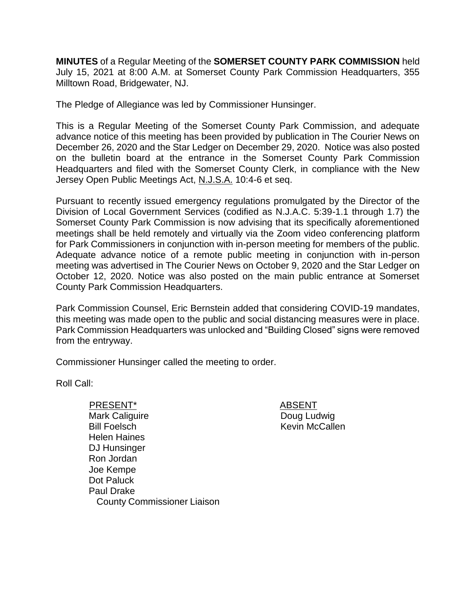**MINUTES** of a Regular Meeting of the **SOMERSET COUNTY PARK COMMISSION** held July 15, 2021 at 8:00 A.M. at Somerset County Park Commission Headquarters, 355 Milltown Road, Bridgewater, NJ.

The Pledge of Allegiance was led by Commissioner Hunsinger.

This is a Regular Meeting of the Somerset County Park Commission, and adequate advance notice of this meeting has been provided by publication in The Courier News on December 26, 2020 and the Star Ledger on December 29, 2020. Notice was also posted on the bulletin board at the entrance in the Somerset County Park Commission Headquarters and filed with the Somerset County Clerk, in compliance with the New Jersey Open Public Meetings Act, N.J.S.A. 10:4-6 et seq.

Pursuant to recently issued emergency regulations promulgated by the Director of the Division of Local Government Services (codified as N.J.A.C. 5:39-1.1 through 1.7) the Somerset County Park Commission is now advising that its specifically aforementioned meetings shall be held remotely and virtually via the Zoom video conferencing platform for Park Commissioners in conjunction with in-person meeting for members of the public. Adequate advance notice of a remote public meeting in conjunction with in-person meeting was advertised in The Courier News on October 9, 2020 and the Star Ledger on October 12, 2020. Notice was also posted on the main public entrance at Somerset County Park Commission Headquarters.

Park Commission Counsel, Eric Bernstein added that considering COVID-19 mandates, this meeting was made open to the public and social distancing measures were in place. Park Commission Headquarters was unlocked and "Building Closed" signs were removed from the entryway.

Commissioner Hunsinger called the meeting to order.

Roll Call:

PRESENT\* ABSENT Mark Caliguire Bill Foelsch Helen Haines DJ Hunsinger Ron Jordan Joe Kempe Dot Paluck Paul Drake County Commissioner Liaison

Doug Ludwig Kevin McCallen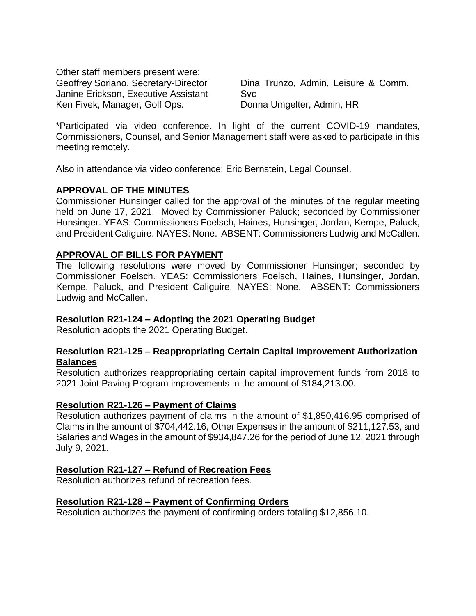Other staff members present were: Geoffrey Soriano, Secretary-Director Janine Erickson, Executive Assistant Ken Fivek, Manager, Golf Ops.

Dina Trunzo, Admin, Leisure & Comm. Svc Donna Umgelter, Admin, HR

\*Participated via video conference. In light of the current COVID-19 mandates, Commissioners, Counsel, and Senior Management staff were asked to participate in this meeting remotely.

Also in attendance via video conference: Eric Bernstein, Legal Counsel.

## **APPROVAL OF THE MINUTES**

Commissioner Hunsinger called for the approval of the minutes of the regular meeting held on June 17, 2021. Moved by Commissioner Paluck; seconded by Commissioner Hunsinger. YEAS: Commissioners Foelsch, Haines, Hunsinger, Jordan, Kempe, Paluck, and President Caliguire. NAYES: None. ABSENT: Commissioners Ludwig and McCallen.

## **APPROVAL OF BILLS FOR PAYMENT**

The following resolutions were moved by Commissioner Hunsinger; seconded by Commissioner Foelsch. YEAS: Commissioners Foelsch, Haines, Hunsinger, Jordan, Kempe, Paluck, and President Caliguire. NAYES: None. ABSENT: Commissioners Ludwig and McCallen.

## **Resolution R21-124 – Adopting the 2021 Operating Budget**

Resolution adopts the 2021 Operating Budget.

### **Resolution R21-125 – Reappropriating Certain Capital Improvement Authorization Balances**

Resolution authorizes reappropriating certain capital improvement funds from 2018 to 2021 Joint Paving Program improvements in the amount of \$184,213.00.

### **Resolution R21-126 – Payment of Claims**

Resolution authorizes payment of claims in the amount of \$1,850,416.95 comprised of Claims in the amount of \$704,442.16, Other Expenses in the amount of \$211,127.53, and Salaries and Wages in the amount of \$934,847.26 for the period of June 12, 2021 through July 9, 2021.

### **Resolution R21-127 – Refund of Recreation Fees**

Resolution authorizes refund of recreation fees.

### **Resolution R21-128 – Payment of Confirming Orders**

Resolution authorizes the payment of confirming orders totaling \$12,856.10.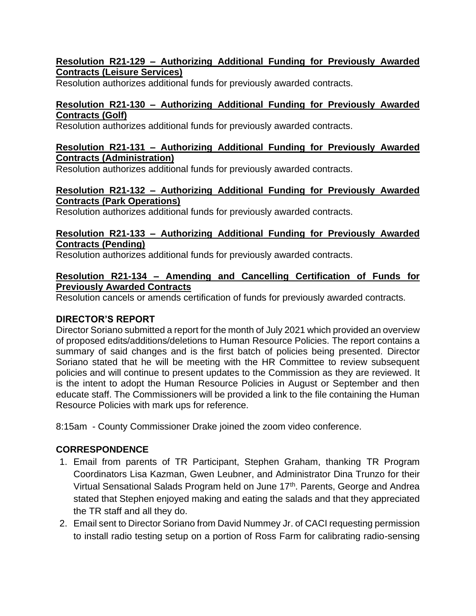## **Resolution R21-129 – Authorizing Additional Funding for Previously Awarded Contracts (Leisure Services)**

Resolution authorizes additional funds for previously awarded contracts.

# **Resolution R21-130 – Authorizing Additional Funding for Previously Awarded Contracts (Golf)**

Resolution authorizes additional funds for previously awarded contracts.

### **Resolution R21-131 – Authorizing Additional Funding for Previously Awarded Contracts (Administration)**

Resolution authorizes additional funds for previously awarded contracts.

## **Resolution R21-132 – Authorizing Additional Funding for Previously Awarded Contracts (Park Operations)**

Resolution authorizes additional funds for previously awarded contracts.

## **Resolution R21-133 – Authorizing Additional Funding for Previously Awarded Contracts (Pending)**

Resolution authorizes additional funds for previously awarded contracts.

## **Resolution R21-134 – Amending and Cancelling Certification of Funds for Previously Awarded Contracts**

Resolution cancels or amends certification of funds for previously awarded contracts.

## **DIRECTOR'S REPORT**

Director Soriano submitted a report for the month of July 2021 which provided an overview of proposed edits/additions/deletions to Human Resource Policies. The report contains a summary of said changes and is the first batch of policies being presented. Director Soriano stated that he will be meeting with the HR Committee to review subsequent policies and will continue to present updates to the Commission as they are reviewed. It is the intent to adopt the Human Resource Policies in August or September and then educate staff. The Commissioners will be provided a link to the file containing the Human Resource Policies with mark ups for reference.

8:15am - County Commissioner Drake joined the zoom video conference.

## **CORRESPONDENCE**

- 1. Email from parents of TR Participant, Stephen Graham, thanking TR Program Coordinators Lisa Kazman, Gwen Leubner, and Administrator Dina Trunzo for their Virtual Sensational Salads Program held on June 17<sup>th</sup>. Parents, George and Andrea stated that Stephen enjoyed making and eating the salads and that they appreciated the TR staff and all they do.
- 2. Email sent to Director Soriano from David Nummey Jr. of CACI requesting permission to install radio testing setup on a portion of Ross Farm for calibrating radio-sensing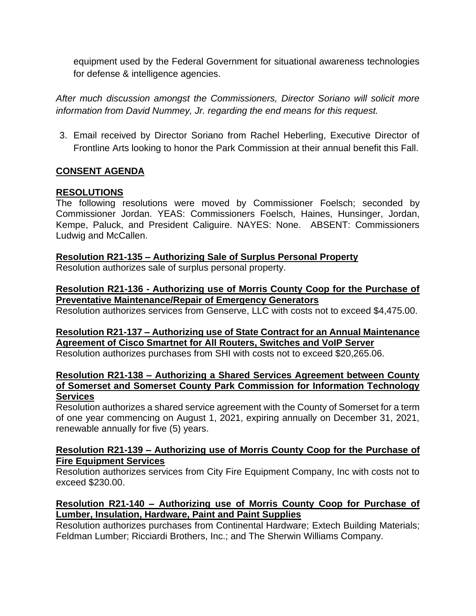equipment used by the Federal Government for situational awareness technologies for defense & intelligence agencies.

*After much discussion amongst the Commissioners, Director Soriano will solicit more information from David Nummey, Jr. regarding the end means for this request.*

3. Email received by Director Soriano from Rachel Heberling, Executive Director of Frontline Arts looking to honor the Park Commission at their annual benefit this Fall.

## **CONSENT AGENDA**

### **RESOLUTIONS**

The following resolutions were moved by Commissioner Foelsch; seconded by Commissioner Jordan. YEAS: Commissioners Foelsch, Haines, Hunsinger, Jordan, Kempe, Paluck, and President Caliguire. NAYES: None. ABSENT: Commissioners Ludwig and McCallen.

### **Resolution R21-135 – Authorizing Sale of Surplus Personal Property**

Resolution authorizes sale of surplus personal property.

## **Resolution R21-136 - Authorizing use of Morris County Coop for the Purchase of Preventative Maintenance/Repair of Emergency Generators**

Resolution authorizes services from Genserve, LLC with costs not to exceed \$4,475.00.

**Resolution R21-137 – Authorizing use of State Contract for an Annual Maintenance Agreement of Cisco Smartnet for All Routers, Switches and VoIP Server**

Resolution authorizes purchases from SHI with costs not to exceed \$20,265.06.

### **Resolution R21-138 – Authorizing a Shared Services Agreement between County of Somerset and Somerset County Park Commission for Information Technology Services**

Resolution authorizes a shared service agreement with the County of Somerset for a term of one year commencing on August 1, 2021, expiring annually on December 31, 2021, renewable annually for five (5) years.

### **Resolution R21-139 – Authorizing use of Morris County Coop for the Purchase of Fire Equipment Services**

Resolution authorizes services from City Fire Equipment Company, Inc with costs not to exceed \$230.00.

## **Resolution R21-140 – Authorizing use of Morris County Coop for Purchase of Lumber, Insulation, Hardware, Paint and Paint Supplies**

Resolution authorizes purchases from Continental Hardware; Extech Building Materials; Feldman Lumber; Ricciardi Brothers, Inc.; and The Sherwin Williams Company.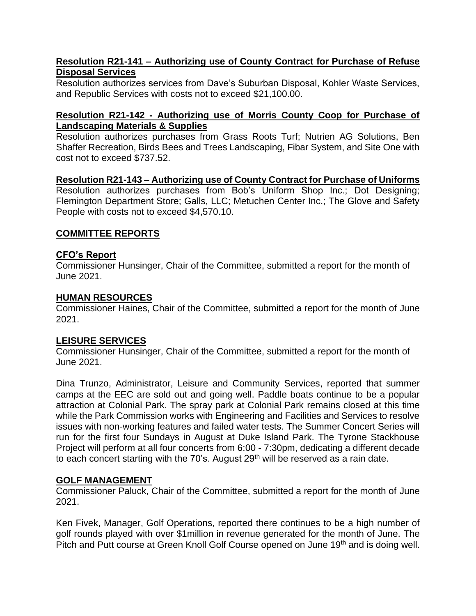### **Resolution R21-141 – Authorizing use of County Contract for Purchase of Refuse Disposal Services**

Resolution authorizes services from Dave's Suburban Disposal, Kohler Waste Services, and Republic Services with costs not to exceed \$21,100.00.

### **Resolution R21-142 - Authorizing use of Morris County Coop for Purchase of Landscaping Materials & Supplies**

Resolution authorizes purchases from Grass Roots Turf; Nutrien AG Solutions, Ben Shaffer Recreation, Birds Bees and Trees Landscaping, Fibar System, and Site One with cost not to exceed \$737.52.

#### **Resolution R21-143 – Authorizing use of County Contract for Purchase of Uniforms** Resolution authorizes purchases from Bob's Uniform Shop Inc.; Dot Designing; Flemington Department Store; Galls, LLC; Metuchen Center Inc.; The Glove and Safety People with costs not to exceed \$4,570.10.

## **COMMITTEE REPORTS**

## **CFO's Report**

Commissioner Hunsinger, Chair of the Committee, submitted a report for the month of June 2021.

### **HUMAN RESOURCES**

Commissioner Haines, Chair of the Committee, submitted a report for the month of June 2021.

### **LEISURE SERVICES**

Commissioner Hunsinger, Chair of the Committee, submitted a report for the month of June 2021.

Dina Trunzo, Administrator, Leisure and Community Services, reported that summer camps at the EEC are sold out and going well. Paddle boats continue to be a popular attraction at Colonial Park. The spray park at Colonial Park remains closed at this time while the Park Commission works with Engineering and Facilities and Services to resolve issues with non-working features and failed water tests. The Summer Concert Series will run for the first four Sundays in August at Duke Island Park. The Tyrone Stackhouse Project will perform at all four concerts from 6:00 - 7:30pm, dedicating a different decade to each concert starting with the  $70$ 's. August  $29<sup>th</sup>$  will be reserved as a rain date.

## **GOLF MANAGEMENT**

Commissioner Paluck, Chair of the Committee, submitted a report for the month of June 2021.

Ken Fivek, Manager, Golf Operations, reported there continues to be a high number of golf rounds played with over \$1million in revenue generated for the month of June. The Pitch and Putt course at Green Knoll Golf Course opened on June 19<sup>th</sup> and is doing well.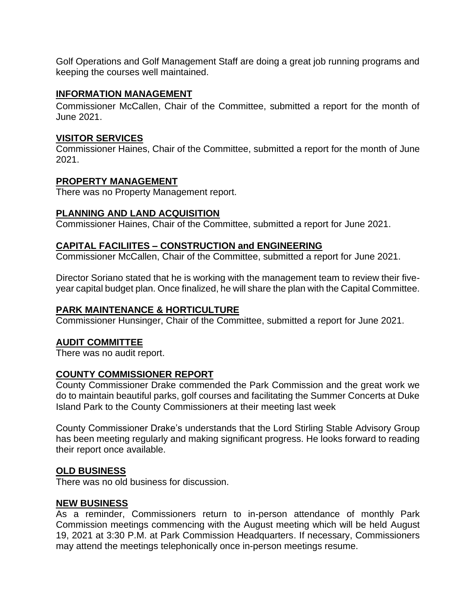Golf Operations and Golf Management Staff are doing a great job running programs and keeping the courses well maintained.

### **INFORMATION MANAGEMENT**

Commissioner McCallen, Chair of the Committee, submitted a report for the month of June 2021.

## **VISITOR SERVICES**

Commissioner Haines, Chair of the Committee, submitted a report for the month of June 2021.

## **PROPERTY MANAGEMENT**

There was no Property Management report.

## **PLANNING AND LAND ACQUISITION**

Commissioner Haines, Chair of the Committee, submitted a report for June 2021.

## **CAPITAL FACILIITES – CONSTRUCTION and ENGINEERING**

Commissioner McCallen, Chair of the Committee, submitted a report for June 2021.

Director Soriano stated that he is working with the management team to review their fiveyear capital budget plan. Once finalized, he will share the plan with the Capital Committee.

## **PARK MAINTENANCE & HORTICULTURE**

Commissioner Hunsinger, Chair of the Committee, submitted a report for June 2021.

## **AUDIT COMMITTEE**

There was no audit report.

## **COUNTY COMMISSIONER REPORT**

County Commissioner Drake commended the Park Commission and the great work we do to maintain beautiful parks, golf courses and facilitating the Summer Concerts at Duke Island Park to the County Commissioners at their meeting last week

County Commissioner Drake's understands that the Lord Stirling Stable Advisory Group has been meeting regularly and making significant progress. He looks forward to reading their report once available.

### **OLD BUSINESS**

There was no old business for discussion.

### **NEW BUSINESS**

As a reminder, Commissioners return to in-person attendance of monthly Park Commission meetings commencing with the August meeting which will be held August 19, 2021 at 3:30 P.M. at Park Commission Headquarters. If necessary, Commissioners may attend the meetings telephonically once in-person meetings resume.